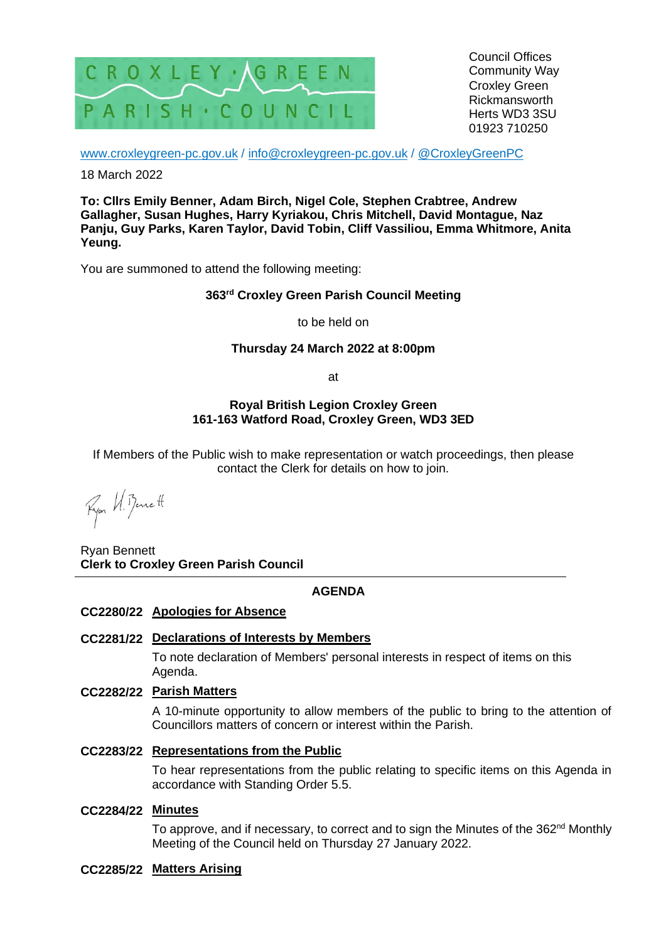

Council Offices Community Way Croxley Green Rickmansworth Herts WD3 3SU 01923 710250

[www.croxleygreen-pc.gov.uk](http://www.croxleygreen-pc.gov.uk/) / [info@croxleygreen-pc.gov.uk](mailto:info@croxleygreen-pc.gov.uk) / [@CroxleyGreenPC](https://twitter.com/CroxleyGreenPC)

18 March 2022

**To: Cllrs Emily Benner, Adam Birch, Nigel Cole, Stephen Crabtree, Andrew Gallagher, Susan Hughes, Harry Kyriakou, Chris Mitchell, David Montague, Naz Panju, Guy Parks, Karen Taylor, David Tobin, Cliff Vassiliou, Emma Whitmore, Anita Yeung.**

You are summoned to attend the following meeting:

# **363 rd Croxley Green Parish Council Meeting**

to be held on

### **Thursday 24 March 2022 at 8:00pm**

at

### **Royal British Legion Croxley Green 161-163 Watford Road, Croxley Green, WD3 3ED**

If Members of the Public wish to make representation or watch proceedings, then please contact the Clerk for details on how to join.

Fyon H. Benett

Ryan Bennett **Clerk to Croxley Green Parish Council**

# **AGENDA**

# **CC2280/22 Apologies for Absence**

# **CC2281/22 Declarations of Interests by Members**

To note declaration of Members' personal interests in respect of items on this Agenda.

## **CC2282/22 Parish Matters**

A 10-minute opportunity to allow members of the public to bring to the attention of Councillors matters of concern or interest within the Parish.

# **CC2283/22 Representations from the Public**

To hear representations from the public relating to specific items on this Agenda in accordance with Standing Order 5.5.

# **CC2284/22 Minutes**

To approve, and if necessary, to correct and to sign the Minutes of the 362<sup>nd</sup> Monthly Meeting of the Council held on Thursday 27 January 2022.

# **CC2285/22 Matters Arising**